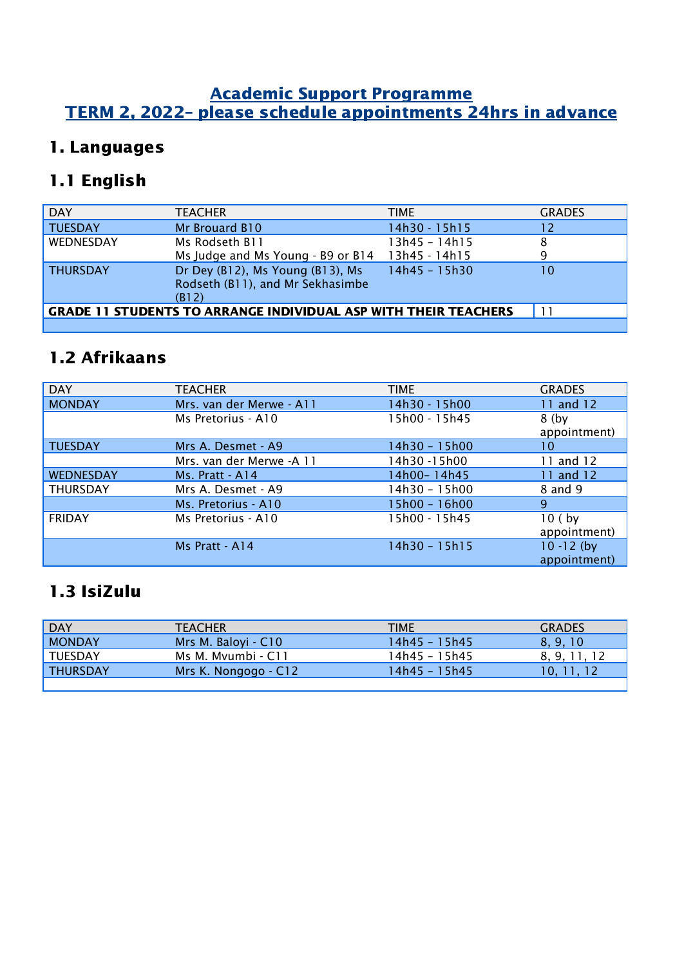#### Academic Support Programme TERM 2, 2022– please schedule appointments 24hrs in advance

## 1. Languages

## 1.1 English

| <b>DAY</b>      | <b>TEACHER</b>                                                                | <b>TIME</b>   | <b>GRADES</b> |
|-----------------|-------------------------------------------------------------------------------|---------------|---------------|
| <b>TUESDAY</b>  | Mr Brouard B10                                                                | 14h30 - 15h15 | 12            |
| WEDNESDAY       | Ms Rodseth B11                                                                | 13h45 - 14h15 | 8             |
|                 | Ms Judge and Ms Young - B9 or B14                                             | 13h45 - 14h15 | q             |
| <b>THURSDAY</b> | Dr Dey (B12), Ms Young (B13), Ms<br>Rodseth (B11), and Mr Sekhasimbe<br>(B12) | 14h45 - 15h30 | 10            |
|                 | <b>GRADE 11 STUDENTS TO ARRANGE INDIVIDUAL ASP WITH THEIR TEACHERS</b>        |               | 11            |
|                 |                                                                               |               |               |

### 1.2 Afrikaans

| <b>DAY</b>       | <b>TEACHER</b>           | <b>TIME</b>   | <b>GRADES</b>                    |
|------------------|--------------------------|---------------|----------------------------------|
| <b>MONDAY</b>    | Mrs. van der Merwe - A11 | 14h30 - 15h00 | 11 and 12                        |
|                  | Ms Pretorius - A10       | 15h00 - 15h45 | 8 <sub>(by</sub><br>appointment) |
| <b>TUESDAY</b>   | Mrs A. Desmet - A9       | 14h30 - 15h00 | 10                               |
|                  | Mrs. van der Merwe -A 11 | 14h30 -15h00  | 11 and 12                        |
| <b>WEDNESDAY</b> | Ms. Pratt - A14          | 14h00-14h45   | 11 and 12                        |
| <b>THURSDAY</b>  | Mrs A. Desmet - A9       | 14h30 - 15h00 | 8 and 9                          |
|                  | Ms. Pretorius - A10      | 15h00 - 16h00 | 9                                |
| <b>FRIDAY</b>    | Ms Pretorius - A10       | 15h00 - 15h45 | 10(by)<br>appointment)           |
|                  | Ms Pratt - A14           | 14h30 - 15h15 | $10 - 12$ (by<br>appointment)    |

### 1.3 IsiZulu

| <b>DAY</b>      | <b>TEACHER</b>       | <b>TIME</b>   | <b>GRADES</b> |
|-----------------|----------------------|---------------|---------------|
| <b>MONDAY</b>   | Mrs M. Baloyi - C10  | 14h45 – 15h45 | 8.9.10        |
| TUESDAY         | Ms M. Myumbi - C11   | 14h45 – 15h45 | 8.9.11.12     |
| <b>THURSDAY</b> | Mrs K. Nongogo - C12 | 14h45 – 15h45 | 10. 11. 12    |
|                 |                      |               |               |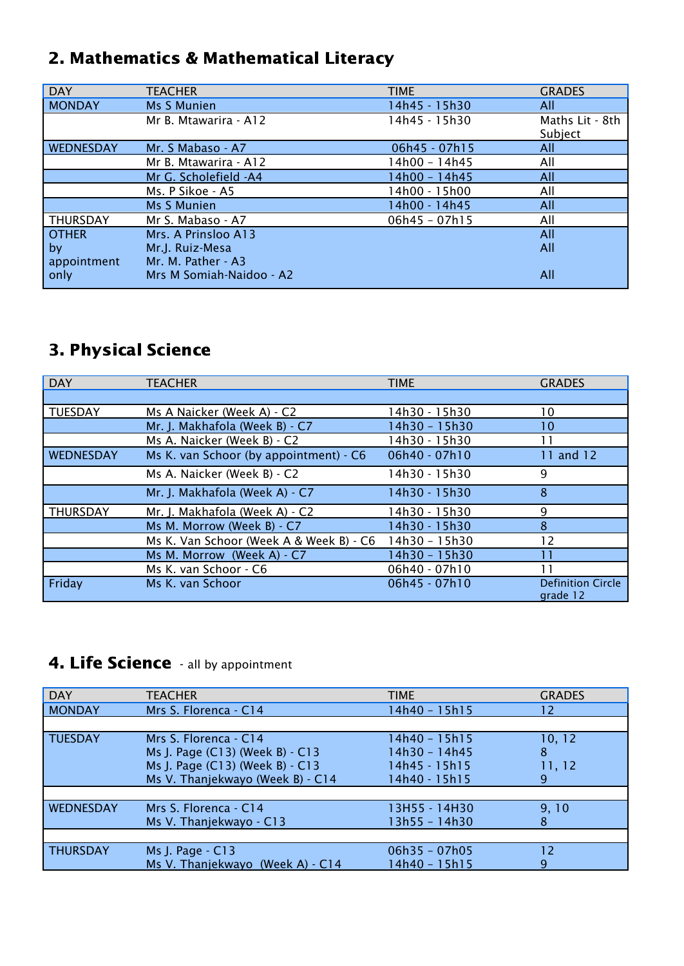## 2. Mathematics & Mathematical Literacy

| <b>DAY</b>      | <b>TEACHER</b>           | <b>TIME</b>     | <b>GRADES</b>              |
|-----------------|--------------------------|-----------------|----------------------------|
| <b>MONDAY</b>   | <b>Ms S Munien</b>       | 14h45 - 15h30   | All                        |
|                 | Mr B. Mtawarira - A12    | 14h45 - 15h30   | Maths Lit - 8th<br>Subject |
| WEDNESDAY       | Mr. S Mabaso - A7        | 06h45 - 07h15   | All                        |
|                 | Mr B. Mtawarira - A12    | 14h00 - 14h45   | All                        |
|                 | Mr G. Scholefield -A4    | 14h00 - 14h45   | All                        |
|                 | Ms. P Sikoe - A5         | 14h00 - 15h00   | All                        |
|                 | Ms S Munien              | 14h00 - 14h45   | All                        |
| <b>THURSDAY</b> | Mr S. Mabaso - A7        | $06h45 - 07h15$ | All                        |
| <b>OTHER</b>    | Mrs. A Prinsloo A13      |                 | All                        |
| by              | Mr.J. Ruiz-Mesa          |                 | All                        |
| appointment     | Mr. M. Pather - A3       |                 |                            |
| only            | Mrs M Somiah-Naidoo - A2 |                 | All                        |

# 3. Physical Science

| <b>DAY</b>      | <b>TEACHER</b>                          | <b>TIME</b>   | <b>GRADES</b>                        |
|-----------------|-----------------------------------------|---------------|--------------------------------------|
|                 |                                         |               |                                      |
| TUESDAY         | Ms A Naicker (Week A) - C2              | 14h30 - 15h30 | 10                                   |
|                 | Mr. J. Makhafola (Week B) - C7          | 14h30 - 15h30 | 10                                   |
|                 | Ms A. Naicker (Week B) - C2             | 14h30 - 15h30 | 11                                   |
| WEDNESDAY       | Ms K. van Schoor (by appointment) - C6  | 06h40 - 07h10 | 11 and 12                            |
|                 | Ms A. Naicker (Week B) - C2             | 14h30 - 15h30 | 9                                    |
|                 | Mr. J. Makhafola (Week A) - C7          | 14h30 - 15h30 | 8                                    |
| <b>THURSDAY</b> | Mr. J. Makhafola (Week A) - C2          | 14h30 - 15h30 | 9                                    |
|                 | Ms M. Morrow (Week B) - C7              | 14h30 - 15h30 | 8                                    |
|                 | Ms K. Van Schoor (Week A & Week B) - C6 | 14h30 - 15h30 | 12                                   |
|                 | Ms M. Morrow (Week A) - C7              | 14h30 - 15h30 | 11                                   |
|                 | Ms K. van Schoor - C6                   | 06h40 - 07h10 | 11                                   |
| Friday          | Ms K. van Schoor                        | 06h45 - 07h10 | <b>Definition Circle</b><br>grade 12 |

### 4. Life Science - all by appointment

| <b>DAY</b>       | <b>TEACHER</b>                                                                                                                  | <b>TIME</b>                                                      | <b>GRADES</b>              |
|------------------|---------------------------------------------------------------------------------------------------------------------------------|------------------------------------------------------------------|----------------------------|
| <b>MONDAY</b>    | Mrs S. Florenca - C14                                                                                                           | 14h40 - 15h15                                                    | 12                         |
|                  |                                                                                                                                 |                                                                  |                            |
| <b>TUESDAY</b>   | Mrs S. Florenca - C14<br>Ms J. Page (C13) (Week B) - C13<br>Ms J. Page (C13) (Week B) - C13<br>Ms V. Thanjekwayo (Week B) - C14 | 14h40 - 15h15<br>14h30 - 14h45<br>14h45 - 15h15<br>14h40 - 15h15 | 10, 12<br>8<br>11, 12<br>9 |
|                  |                                                                                                                                 |                                                                  |                            |
| <b>WEDNESDAY</b> | Mrs S. Florenca - C14<br>Ms V. Thanjekwayo - C13                                                                                | 13H55 - 14H30<br>13h55 - 14h30                                   | 9, 10<br>8                 |
|                  |                                                                                                                                 |                                                                  |                            |
| <b>THURSDAY</b>  | Ms J. Page - C13<br>Ms V. Thanjekwayo<br>(Week A) $- C14$                                                                       | $06h35 - 07h05$<br>14h40 - 15h15                                 | 12<br>9                    |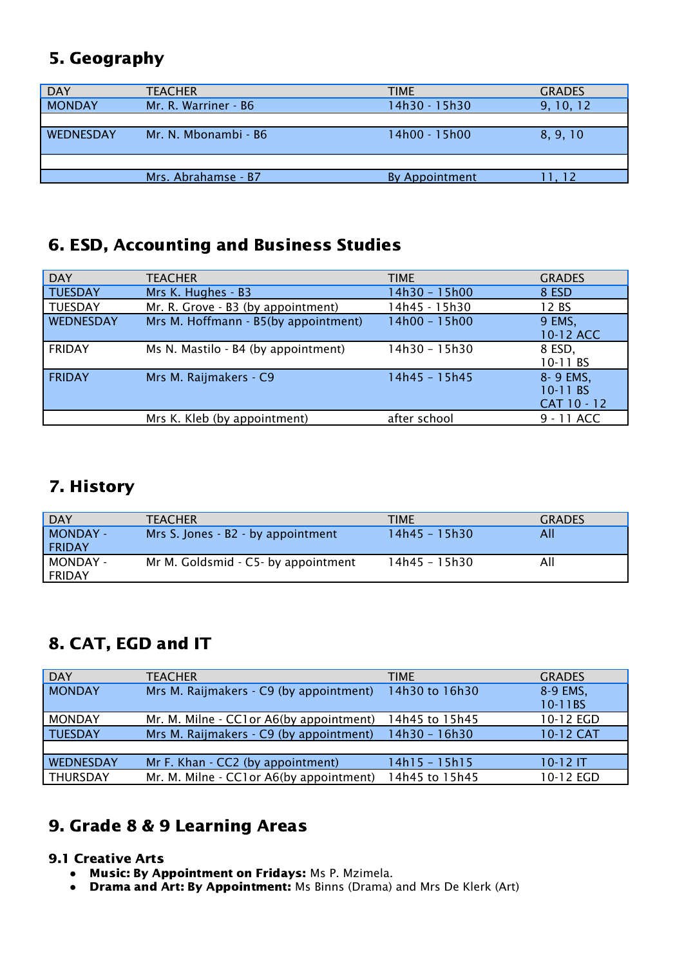### 5. Geography

| <b>DAY</b>       | <b>TEACHER</b>       | <b>TIME</b>    | <b>GRADES</b> |
|------------------|----------------------|----------------|---------------|
| <b>MONDAY</b>    | Mr. R. Warriner - B6 | 14h30 - 15h30  | 9, 10, 12     |
| <b>WEDNESDAY</b> | Mr. N. Mbonambi - B6 | 14h00 - 15h00  | 8, 9, 10      |
|                  |                      |                |               |
|                  | Mrs. Abrahamse - B7  | By Appointment | 11.12         |

#### 6. ESD, Accounting and Business Studies

| DAY           | <b>TEACHER</b>                       | TIME          | <b>GRADES</b>                       |
|---------------|--------------------------------------|---------------|-------------------------------------|
| TUESDAY       | Mrs K. Hughes - B3                   | 14h30 - 15h00 | 8 ESD                               |
| TUESDAY       | Mr. R. Grove - B3 (by appointment)   | 14h45 - 15h30 | 12 BS                               |
| WEDNESDAY     | Mrs M. Hoffmann - B5(by appointment) | 14h00 - 15h00 | 9 EMS,<br>10-12 ACC                 |
| <b>FRIDAY</b> | Ms N. Mastilo - B4 (by appointment)  | 14h30 - 15h30 | 8 ESD,<br>10-11 BS                  |
| <b>FRIDAY</b> | Mrs M. Raijmakers - C9               | 14h45 - 15h45 | 8-9 EMS,<br>10-11 BS<br>CAT 10 - 12 |
|               | Mrs K. Kleb (by appointment)         | after school  | 9 - 11 ACC                          |

### 7. History

| <b>DAY</b>                | <b>TEACHER</b>                      | <b>TIME</b>      | <b>GRADES</b> |
|---------------------------|-------------------------------------|------------------|---------------|
| MONDAY -<br><b>FRIDAY</b> | Mrs S. Jones - B2 - by appointment  | $14h45 - 15h30/$ | All           |
| MONDAY -<br><b>FRIDAY</b> | Mr M. Goldsmid - C5- by appointment | 14h45 - 15h30    | All           |

## 8. CAT, EGD and IT

| <b>DAY</b>       | <b>TEACHER</b>                           | <b>TIME</b>    | <b>GRADES</b> |
|------------------|------------------------------------------|----------------|---------------|
| <b>MONDAY</b>    | Mrs M. Raijmakers - C9 (by appointment)  | 14h30 to 16h30 | 8-9 EMS,      |
|                  |                                          |                | 10-11BS       |
| <b>MONDAY</b>    | Mr. M. Milne - CC1 or A6(by appointment) | 14h45 to 15h45 | 10-12 EGD     |
| <b>TUESDAY</b>   | Mrs M. Raijmakers - C9 (by appointment)  | 14h30 - 16h30  | 10-12 CAT     |
|                  |                                          |                |               |
| <b>WEDNESDAY</b> | Mr F. Khan - CC2 (by appointment)        | 14h15 - 15h15  | $10-12$ IT    |
| THURSDAY         | Mr. M. Milne - CC1 or A6(by appointment) | 14h45 to 15h45 | 10-12 EGD     |

## 9. Grade 8 & 9 Learning Areas

#### 9.1 Creative Arts

- Music: By Appointment on Fridays: Ms P. Mzimela.
- **●** Drama and Art: By Appointment: Ms Binns (Drama) and Mrs De Klerk (Art)